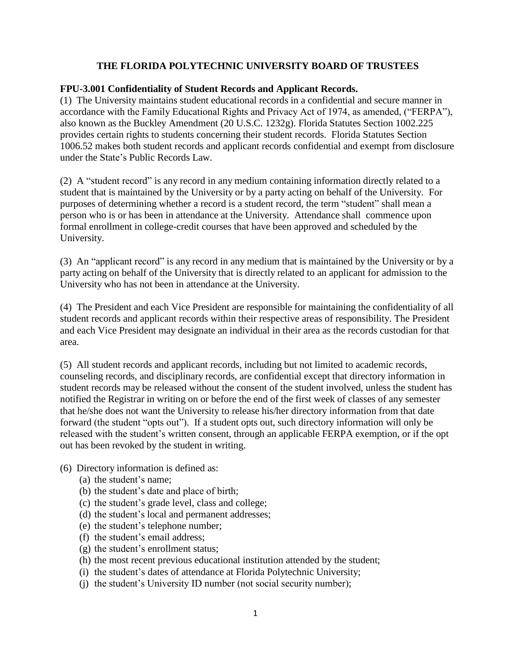## **THE FLORIDA POLYTECHNIC UNIVERSITY BOARD OF TRUSTEES**

## **FPU-3.001 Confidentiality of Student Records and Applicant Records.**

(1) The University maintains student educational records in a confidential and secure manner in accordance with the Family Educational Rights and Privacy Act of 1974, as amended, ("FERPA"), also known as the Buckley Amendment (20 U.S.C. 1232g). Florida Statutes Section 1002.225 provides certain rights to students concerning their student records. Florida Statutes Section 1006.52 makes both student records and applicant records confidential and exempt from disclosure under the State's Public Records Law.

(2) A "student record" is any record in any medium containing information directly related to a student that is maintained by the University or by a party acting on behalf of the University. For purposes of determining whether a record is a student record, the term "student" shall mean a person who is or has been in attendance at the University. Attendance shall commence upon formal enrollment in college-credit courses that have been approved and scheduled by the University.

(3) An "applicant record" is any record in any medium that is maintained by the University or by a party acting on behalf of the University that is directly related to an applicant for admission to the University who has not been in attendance at the University.

(4) The President and each Vice President are responsible for maintaining the confidentiality of all student records and applicant records within their respective areas of responsibility. The President and each Vice President may designate an individual in their area as the records custodian for that area.

(5) All student records and applicant records, including but not limited to academic records, counseling records, and disciplinary records, are confidential except that directory information in student records may be released without the consent of the student involved, unless the student has notified the Registrar in writing on or before the end of the first week of classes of any semester that he/she does not want the University to release his/her directory information from that date forward (the student "opts out"). If a student opts out, such directory information will only be released with the student's written consent, through an applicable FERPA exemption, or if the opt out has been revoked by the student in writing.

- (6) Directory information is defined as:
	- (a) the student's name;
	- (b) the student's date and place of birth;
	- (c) the student's grade level, class and college;
	- (d) the student's local and permanent addresses;
	- (e) the student's telephone number;
	- (f) the student's email address;
	- (g) the student's enrollment status;
	- (h) the most recent previous educational institution attended by the student;
	- (i) the student's dates of attendance at Florida Polytechnic University;
	- (j) the student's University ID number (not social security number);